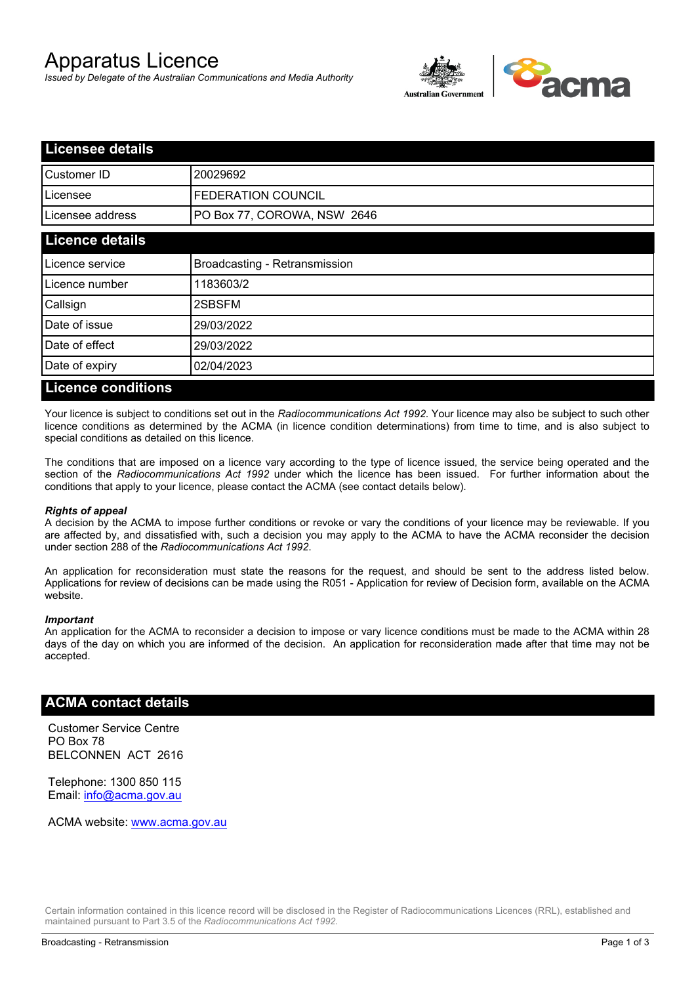# Apparatus Licence

*Issued by Delegate of the Australian Communications and Media Authority*



| <b>Licensee details</b> |                               |  |
|-------------------------|-------------------------------|--|
| Customer ID             | 20029692                      |  |
| Licensee                | FEDERATION COUNCIL            |  |
| Licensee address        | PO Box 77, COROWA, NSW 2646   |  |
| <b>Licence details</b>  |                               |  |
| Licence service         | Broadcasting - Retransmission |  |
| Licence number          | 1183603/2                     |  |
| Callsign                | 2SBSFM                        |  |
| Date of issue           | 29/03/2022                    |  |
| Date of effect          | 29/03/2022                    |  |
| Date of expiry          | 02/04/2023                    |  |
| Liaanaa aanditiana      |                               |  |

### **Licence conditions**

Your licence is subject to conditions set out in the *Radiocommunications Act 1992*. Your licence may also be subject to such other licence conditions as determined by the ACMA (in licence condition determinations) from time to time, and is also subject to special conditions as detailed on this licence.

The conditions that are imposed on a licence vary according to the type of licence issued, the service being operated and the section of the *Radiocommunications Act 1992* under which the licence has been issued. For further information about the conditions that apply to your licence, please contact the ACMA (see contact details below).

#### *Rights of appeal*

A decision by the ACMA to impose further conditions or revoke or vary the conditions of your licence may be reviewable. If you are affected by, and dissatisfied with, such a decision you may apply to the ACMA to have the ACMA reconsider the decision under section 288 of the *Radiocommunications Act 1992*.

An application for reconsideration must state the reasons for the request, and should be sent to the address listed below. Applications for review of decisions can be made using the R051 - Application for review of Decision form, available on the ACMA website.

#### *Important*

An application for the ACMA to reconsider a decision to impose or vary licence conditions must be made to the ACMA within 28 days of the day on which you are informed of the decision. An application for reconsideration made after that time may not be accepted.

#### **ACMA contact details**

Customer Service Centre PO Box 78 BELCONNEN ACT 2616

Telephone: 1300 850 115 Email: info@acma.gov.au

ACMA website: www.acma.gov.au

Certain information contained in this licence record will be disclosed in the Register of Radiocommunications Licences (RRL), established and maintained pursuant to Part 3.5 of the *Radiocommunications Act 1992.*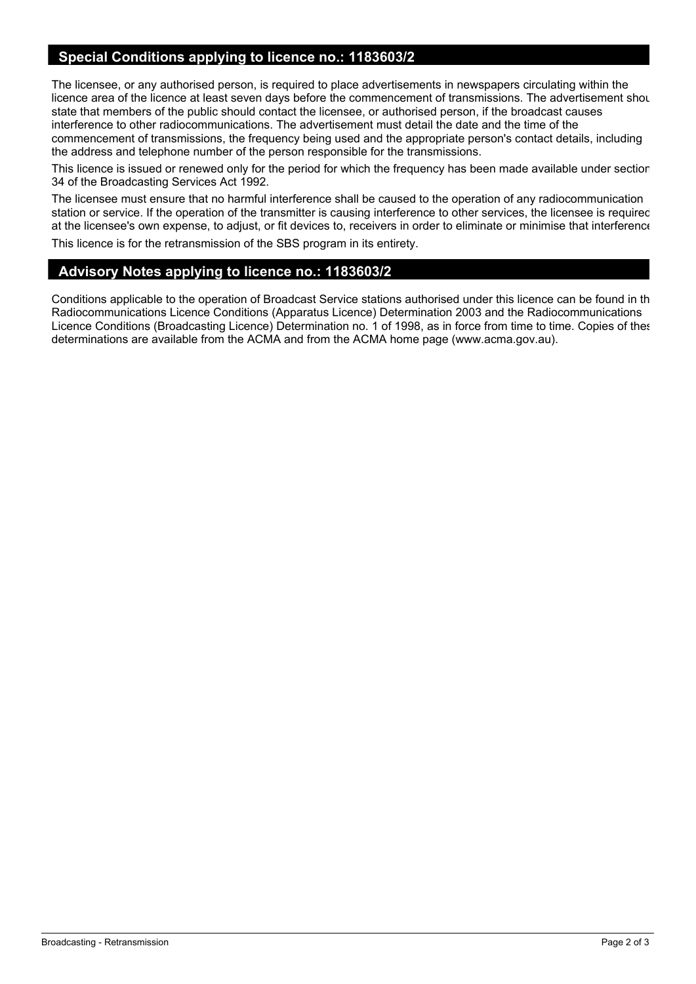## **Special Conditions applying to licence no.: 1183603/2**

The licensee, or any authorised person, is required to place advertisements in newspapers circulating within the licence area of the licence at least seven days before the commencement of transmissions. The advertisement shou state that members of the public should contact the licensee, or authorised person, if the broadcast causes interference to other radiocommunications. The advertisement must detail the date and the time of the commencement of transmissions, the frequency being used and the appropriate person's contact details, including the address and telephone number of the person responsible for the transmissions.

This licence is issued or renewed only for the period for which the frequency has been made available under section 34 of the Broadcasting Services Act 1992.

The licensee must ensure that no harmful interference shall be caused to the operation of any radiocommunication station or service. If the operation of the transmitter is causing interference to other services, the licensee is required, at the licensee's own expense, to adjust, or fit devices to, receivers in order to eliminate or minimise that interference.

This licence is for the retransmission of the SBS program in its entirety.

## **Advisory Notes applying to licence no.: 1183603/2**

Conditions applicable to the operation of Broadcast Service stations authorised under this licence can be found in the Radiocommunications Licence Conditions (Apparatus Licence) Determination 2003 and the Radiocommunications Licence Conditions (Broadcasting Licence) Determination no. 1 of 1998, as in force from time to time. Copies of these determinations are available from the ACMA and from the ACMA home page (www.acma.gov.au).